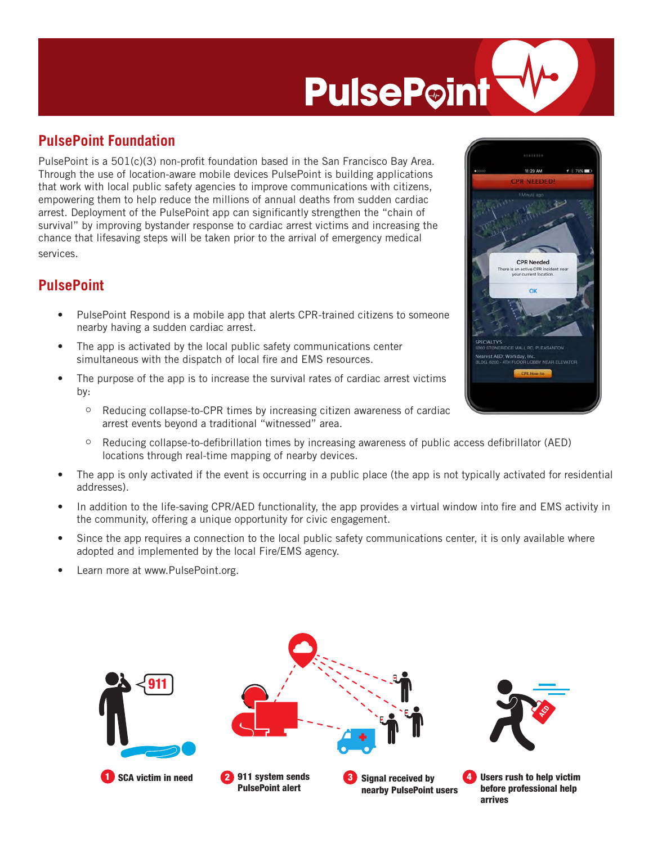## **PulsePoint**

## **PulsePoint Foundation**

PulsePoint is a 501(c)(3) non-profit foundation based in the San Francisco Bay Area. Through the use of location-aware mobile devices PulsePoint is building applications that work with local public safety agencies to improve communications with citizens, empowering them to help reduce the millions of annual deaths from sudden cardiac arrest. Deployment of the PulsePoint app can significantly strengthen the "chain of survival" by improving bystander response to cardiac arrest victims and increasing the chance that lifesaving steps will be taken prior to the arrival of emergency medical services.

## **PulsePoint**

- PulsePoint Respond is a mobile app that alerts CPR-trained citizens to someone nearby having a sudden cardiac arrest.
- The app is activated by the local public safety communications center simultaneous with the dispatch of local fire and EMS resources.
- The purpose of the app is to increase the survival rates of cardiac arrest victims by:
	- $\degree$  Reducing collapse-to-CPR times by increasing citizen awareness of cardiac arrest events beyond a traditional "witnessed" area.
	- $\degree$  Reducing collapse-to-defibrillation times by increasing awareness of public access defibrillator (AED) locations through real-time mapping of nearby devices.
- The app is only activated if the event is occurring in a public place (the app is not typically activated for residential addresses).
- In addition to the life-saving CPR/AED functionality, the app provides a virtual window into fire and EMS activity in the community, offering a unique opportunity for civic engagement.
- Since the app requires a connection to the local public safety communications center, it is only available where adopted and implemented by the local Fire/EMS agency.
- Learn more at www.PulsePoint.org.



|             | 11:29 AM                                                                 | ☆ 70% |
|-------------|--------------------------------------------------------------------------|-------|
|             | <b>CPR NEEDED!</b>                                                       |       |
|             | 1 Minute ago                                                             |       |
|             |                                                                          |       |
|             |                                                                          |       |
|             |                                                                          |       |
|             |                                                                          |       |
|             |                                                                          |       |
|             | <b>CPR Needed</b>                                                        |       |
|             | There is an active CPR incident near                                     |       |
|             | your current location.                                                   |       |
|             | OK                                                                       |       |
|             |                                                                          |       |
|             |                                                                          |       |
|             |                                                                          |       |
|             |                                                                          |       |
| SPECIALTY'S |                                                                          |       |
|             | 6200 STONERIDGE MALL RD, PLEASANTON                                      |       |
|             | Nearest AED: Workday, Inc.<br>BLDG. 6200 - 4TH FLOOR LOBBY NEAR ELEVATOR |       |
|             |                                                                          |       |
|             | <b>CPR How-to</b>                                                        |       |
|             |                                                                          |       |